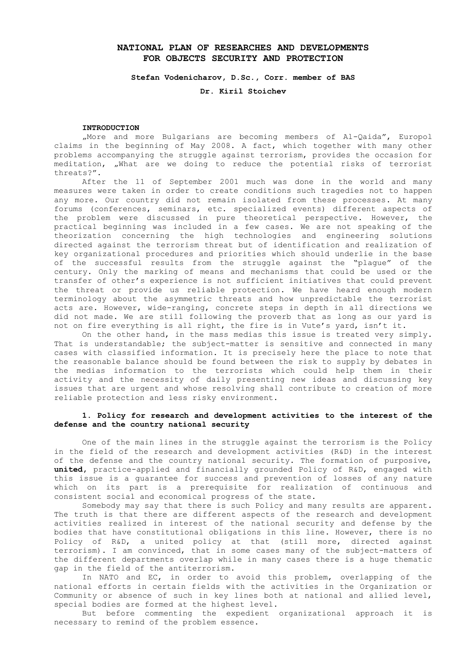# **NATIONAL PLAN OF RESEARCHES AND DEVELOPMENTS FOR OBJECTS SECURITY AND PROTECTION**

**Stefan Vodenicharov, D.Sc., Corr. member of BAS** 

**Dr. Kiril Stoichev**

### **INTRODUCTION**

"More and more Bulgarians are becoming members of Al-Qaida", Europol claims in the beginning of May 2008. A fact, which together with many other problems accompanying the struggle against terrorism, provides the occasion for meditation, "What are we doing to reduce the potential risks of terrorist threats?".

After the 11 of September 2001 much was done in the world and many measures were taken in order to create conditions such tragedies not to happen any more. Our country did not remain isolated from these processes. At many forums (conferences, seminars, etc. specialized events) different aspects of the problem were discussed in pure theoretical perspective. However, the practical beginning was included in a few cases. We are not speaking of the theorization concerning the high technologies and engineering solutions directed against the terrorism threat but of identification and realization of key organizational procedures and priorities which should underlie in the base of the successful results from the struggle against the "plague" of the century. Only the marking of means and mechanisms that could be used or the transfer of other's experience is not sufficient initiatives that could prevent the threat or provide us reliable protection. We have heard enough modern terminology about the asymmetric threats and how unpredictable the terrorist acts are. However, wide-ranging, concrete steps in depth in all directions we did not made. We are still following the proverb that as long as our yard is not on fire everything is all right, the fire is in Vute's yard, isn't it.

On the other hand, in the mass medias this issue is treated very simply. That is understandable; the subject-matter is sensitive and connected in many cases with classified information. It is precisely here the place to note that the reasonable balance should be found between the risk to supply by debates in the medias information to the terrorists which could help them in their activity and the necessity of daily presenting new ideas and discussing key issues that are urgent and whose resolving shall contribute to creation of more reliable protection and less risky environment.

## **1. Policy for research and development activities to the interest of the defense and the country national security**

One of the main lines in the struggle against the terrorism is the Policy in the field of the research and development activities (R&D) in the interest of the defense and the country national security. The formation of purposive, **united,** practice-applied and financially grounded Policy of R&D, engaged with this issue is a guarantee for success and prevention of losses of any nature which on its part is a prerequisite for realization of continuous and consistent social and economical progress of the state.

Somebody may say that there is such Policy and many results are apparent. The truth is that there are different aspects of the research and development activities realized in interest of the national security and defense by the bodies that have constitutional obligations in this line. However, there is no Policy of R&D, a united policy at that (still more, directed against terrorism). I am convinced, that in some cases many of the subject-matters of the different departments overlap while in many cases there is a huge thematic gap in the field of the antiterrorism.

In NATO and EC, in order to avoid this problem, overlapping of the national efforts in certain fields with the activities in the Organization or Community or absence of such in key lines both at national and allied level, special bodies are formed at the highest level.

But before commenting the expedient organizational approach it is necessary to remind of the problem essence.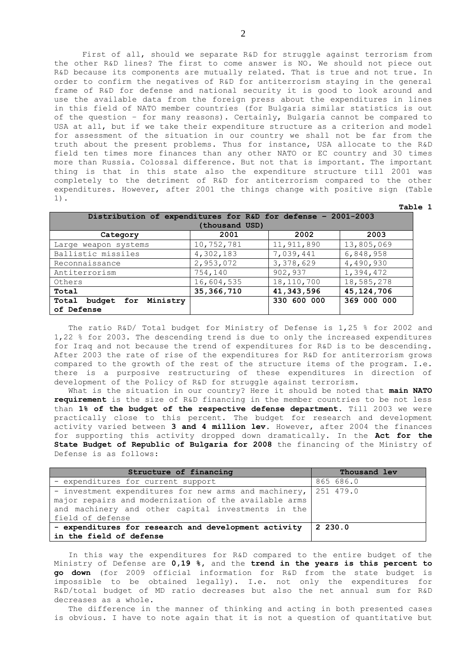First of all, should we separate R&D for struggle against terrorism from the other R&D lines? The first to come answer is NO. We should not piece out R&D because its components are mutually related. That is true and not true. In order to confirm the negatives of R&D for antiterrorism staying in the general frame of R&D for defense and national security it is good to look around and use the available data from the foreign press about the expenditures in lines in this field of NATO member countries (for Bulgaria similar statistics is out of the question – for many reasons). Certainly, Bulgaria cannot be compared to USA at all, but if we take their expenditure structure as a criterion and model for assessment of the situation in our country we shall not be far from the truth about the present problems. Thus for instance, USA allocate to the R&D field ten times more finances than any other NATO or EC country and 30 times more than Russia. Colossal difference. But not that is important. The important thing is that in this state also the expenditure structure till 2001 was completely to the detriment of R&D for antiterrorism compared to the other expenditures. However, after 2001 the things change with positive sign (Table 1).

**Table 1**

| Distribution of expenditures for R&D for defense - 2001-2003 |              |              |              |  |
|--------------------------------------------------------------|--------------|--------------|--------------|--|
| (thousand USD)                                               |              |              |              |  |
| Category                                                     | 2001         | 2002         | 2003         |  |
| Large weapon systems                                         | 10,752,781   | 11, 911, 890 | 13,805,069   |  |
| Ballistic missiles                                           | 4,302,183    | 7,039,441    | 6,848,958    |  |
| Reconnaissance                                               | 2,953,072    | 3,378,629    | 4,490,930    |  |
| Antiterrorism                                                | 754,140      | 902,937      | 1,394,472    |  |
| Others                                                       | 16,604,535   | 18,110,700   | 18,585,278   |  |
| Total                                                        | 35, 366, 710 | 41,343,596   | 45, 124, 706 |  |
| Ministry<br>budget for<br>Total                              |              | 330 600 000  | 369 000 000  |  |
| of Defense                                                   |              |              |              |  |

The ratio R&D/ Total budget for Ministry of Defense is 1,25 % for 2002 and 1,22 % for 2003. The descending trend is due to only the increased expenditures for Iraq and not because the trend of expenditures for R&D is to be descending. After 2003 the rate of rise of the expenditures for R&D for antiterrorism grows compared to the growth of the rest of the structure items of the program. I.е. there is a purposive restructuring of these expenditures in direction of development of the Policy of R&D for struggle against terrorism.

What is the situation in our country? Here it should be noted that **main NATO requirement** is the size of R&D financing in the member countries to be not less than **1% of the budget of the respective defense department.** Till 2003 we were practically close to this percent. The budget for research and development activity varied between **3 and 4 million lev.** However, after 2004 the finances for supporting this activity dropped down dramatically. In the **Act for the State Budget of Republic of Bulgaria for 2008** the financing of the Ministry of Defense is as follows:

| Structure of financing                                | Thousand lev |
|-------------------------------------------------------|--------------|
| - expenditures for current support                    | 865 686.0    |
| - investment expenditures for new arms and machinery, | 251 479.0    |
| major repairs and modernization of the available arms |              |
| and machinery and other capital investments in the    |              |
| field of defense                                      |              |
| - expenditures for research and development activity  | 2, 230.0     |
| in the field of defense                               |              |

In this way the expenditures for R&D compared to the entire budget of the Ministry of Defense are **0,19 %,** and the **trend in the years is this percent to go down** (for 2009 official information for R&D from the state budget is impossible to be obtained legally). I.е. not only the expenditures for R&D/total budget of MD ratio decreases but also the net annual sum for R&D decreases as a whole.

The difference in the manner of thinking and acting in both presented cases is obvious. I have to note again that it is not a question of quantitative but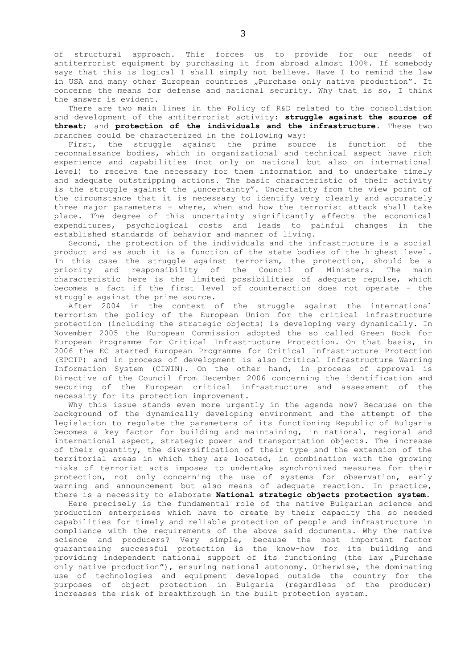of structural approach. This forces us to provide for our needs of antiterrorist equipment by purchasing it from abroad almost 100%. If somebody says that this is logical I shall simply not believe. Have I to remind the law in USA and many other European countries "Purchase only native production". It concerns the means for defense and national security. Why that is so, I think the answer is evident.

There are two main lines in the Policy of R&D related to the consolidation and development of the antiterrorist activity: **struggle against the source of threat**; and **protection of the individuals and the infrastructure**. These two branches could be characterized in the following way:

First, the struggle against the prime source is function of the reconnaissance bodies, which in organizational and technical aspect have rich experience and capabilities (not only on national but also on international level) to receive the necessary for them information and to undertake timely and adequate outstripping actions. The basic characteristic of their activity is the struggle against the "uncertainty". Uncertainty from the view point of the circumstance that it is necessary to identify very clearly and accurately three major parameters – where, when and how the terrorist attack shall take place. The degree of this uncertainty significantly affects the economical expenditures, psychological costs and leads to painful changes in the established standards of behavior and manner of living.

Second, the protection of the individuals and the infrastructure is a social product and as such it is a function of the state bodies of the highest level. In this case the struggle against terrorism, the protection, should be a priority and responsibility of the Council of Ministers. The main characteristic here is the limited possibilities of adequate repulse, which becomes a fact if the first level of counteraction does not operate – the struggle against the prime source.

After 2004 in the context of the struggle against the international terrorism the policy of the European Union for the critical infrastructure protection (including the strategic objects) is developing very dynamically. In November 2005 the European Commission adopted the so called Green Book for European Programme for Critical Infrastructure Protection. On that basis, in 2006 the ЕС started European Programme for Critical Infrastructure Protection (EPCIP) and in process of development is also Critical Infrastructure Warning Information System (CIWIN). On the other hand, in process of approval is Directive of the Council from December 2006 concerning the identification and securing of the European critical infrastructure and assessment of the necessity for its protection improvement.

Why this issue stands even more urgently in the agenda now? Because on the background of the dynamically developing environment and the attempt of the legislation to regulate the parameters of its functioning Republic of Bulgaria becomes a key factor for building and maintaining, in national, regional and international aspect, strategic power and transportation objects. The increase of their quantity, the diversification of their type and the extension of the territorial areas in which they are located, in combination with the growing risks of terrorist acts imposes to undertake synchronized measures for their protection, not only concerning the use of systems for observation, early warning and announcement but also means of adequate reaction. In practice, there is a necessity to elaborate **National strategic objects protection system.**

Here precisely is the fundamental role of the native Bulgarian science and production enterprises which have to create by their capacity the so needed capabilities for timely and reliable protection of people and infrastructure in compliance with the requirements of the above said documents. Why the native science and producers? Very simple, because the most important factor guaranteeing successful protection is the know-how for its building and providing independent national support of its functioning (the law "Purchase only native production"), ensuring national autonomy. Otherwise, the dominating use of technologies and equipment developed outside the country for the purposes of object protection in Bulgaria (regardless of the producer) increases the risk of breakthrough in the built protection system.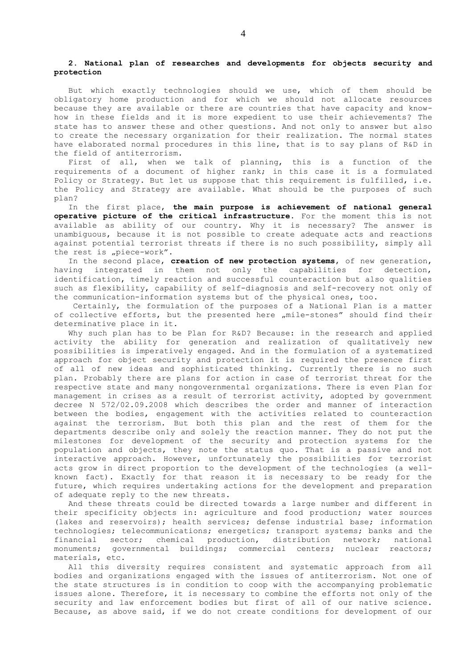### **2. National plan of researches and developments for objects security and protection**

But which exactly technologies should we use, which of them should be obligatory home production and for which we should not allocate resources because they are available or there are countries that have capacity and knowhow in these fields and it is more expedient to use their achievements? The state has to answer these and other questions. And not only to answer but also to create the necessary organization for their realization. The normal states have elaborated normal procedures in this line, that is to say plans of R&D in the field of antiterrorism.

First of all, when we talk of planning, this is a function of the requirements of a document of higher rank; in this case it is a formulated Policy or Strategy. But let us suppose that this requirement is fulfilled, i.е. the Policy and Strategy are available. What should be the purposes of such plan?

In the first place, **the main purpose is achievement of national general operative picture of the critical infrastructure**. For the moment this is not available as ability of our country. Why it is necessary? The answer is unambiguous, because it is not possible to create adequate acts and reactions against potential terrorist threats if there is no such possibility, simply all the rest is "piece-work".

In the second place, **creation of new protection systems**, of new generation, having integrated in them not only the capabilities for detection, identification, timely reaction and successful counteraction but also qualities such as flexibility, capability of self-diagnosis and self-recovery not only of the communication-information systems but of the physical ones, too.

Certainly, the formulation of the purposes of a National Plan is a matter of collective efforts, but the presented here "mile-stones" should find their determinative place in it.

Why such plan has to be Plan for R&D? Because: in the research and applied activity the ability for generation and realization of qualitatively new possibilities is imperatively engaged. And in the formulation of a systematized approach for object security and protection it is required the presence first of all of new ideas and sophisticated thinking. Currently there is no such plan. Probably there are plans for action in case of terrorist threat for the respective state and many nongovernmental organizations. There is even Plan for management in crises as a result of terrorist activity, adopted by government decree N 572/02.09.2008 which describes the order and manner of interaction between the bodies, engagement with the activities related to counteraction against the terrorism. But both this plan and the rest of them for the departments describe only and solely the reaction manner. They do not put the milestones for development of the security and protection systems for the population and objects, they note the status quo. That is a passive and not interactive approach. However, unfortunately the possibilities for terrorist acts grow in direct proportion to the development of the technologies (a wellknown fact). Exactly for that reason it is necessary to be ready for the future, which requires undertaking actions for the development and preparation of adequate reply to the new threats.

And these threats could be directed towards a large number and different in their specificity objects in: agriculture and food production; water sources (lakes and reservoirs); health services; defense industrial base; information technologies; telecommunications; energetics; transport systems; banks and the financial sector; chemical production, distribution network; national monuments; governmental buildings; commercial centers; nuclear reactors; materials, etc.

All this diversity requires consistent and systematic approach from all bodies and organizations engaged with the issues of antiterrorism. Not one of the state structures is in condition to coop with the accompanying problematic issues alone. Therefore, it is necessary to combine the efforts not only of the security and law enforcement bodies but first of all of our native science. Because, as above said, if we do not create conditions for development of our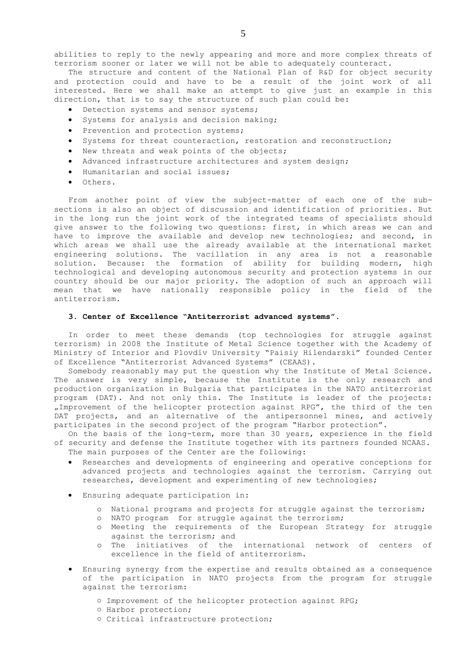abilities to reply to the newly appearing and more and more complex threats of terrorism sooner or later we will not be able to adequately counteract.

The structure and content of the National Plan of R&D for object security and protection could and have to be a result of the joint work of all interested. Here we shall make an attempt to give just an example in this direction, that is to say the structure of such plan could be:

- Detection systems and sensor systems;
- Systems for analysis and decision making;
- Prevention and protection systems;
- Systems for threat counteraction, restoration and reconstruction;
- New threats and weak points of the objects;
- Advanced infrastructure architectures and system design;
- Humanitarian and social issues;
- $\bullet$  Others.

From another point of view the subject-matter of each one of the subsections is also an object of discussion and identification of priorities. But in the long run the joint work of the integrated teams of specialists should give answer to the following two questions: first, in which areas we can and have to improve the available and develop new technologies; and second, in which areas we shall use the already available at the international market engineering solutions. The vacillation in any area is not a reasonable solution. Because: the formation of ability for building modern, high technological and developing autonomous security and protection systems in our country should be our major priority. The adoption of such an approach will mean that we have nationally responsible policy in the field of the antiterrorism.

## **3. Center of Excellence "Antiterrorist advanced systems".**

In order to meet these demands (top technologies for struggle against terrorism) in 2008 the Institute of Metal Science together with the Academy of Ministry of Interior and Plovdiv University "Paisiy Hilendarski" founded Center of Excellence "Antiterrorist Advanced Systems" (CEAAS).

Somebody reasonably may put the question why the Institute of Metal Science. The answer is very simple, because the Institute is the only research and production organization in Bulgaria that participates in the NATO antiterrorist program (DAT). And not only this. The Institute is leader of the projects: "Improvement of the helicopter protection against RPG", the third of the ten DAT projects, and an alternative of the antipersonnel mines, and actively participates in the second project of the program "Harbor protection".

On the basis of the long-term, more than 30 years, experience in the field of security and defense the Institute together with its partners founded NCAAS. The main purposes of the Center are the following:

- Researches and developments of engineering and operative conceptions for advanced projects and technologies against the terrorism. Carrying out researches, development and experimenting of new technologies;
- Ensuring adequate participation in:
	- o National programs and projects for struggle against the terrorism;
	- o NATO program for struggle against the terrorism;
	- o Meeting the requirements of the European Strategy for struggle against the terrorism; and
	- o The initiatives of the international network of centers of excellence in the field of antiterrorism.
- Ensuring synergy from the expertise and results obtained as a consequence of the participation in NATO projects from the program for struggle against the terrorism:
	- Improvement of the helicopter protection against RPG;
	- Harbor protection;
	- Critical infrastructure protection;